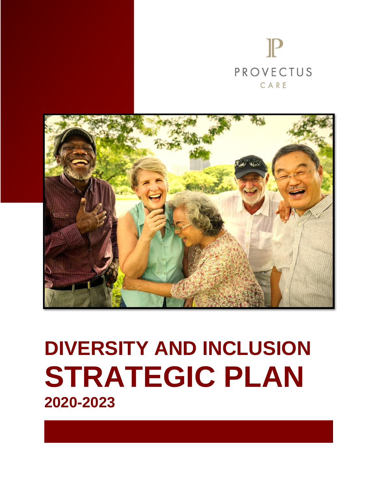



# **DIVERSITY AND INCLUSION STRATEGIC PLAN 2020-2023**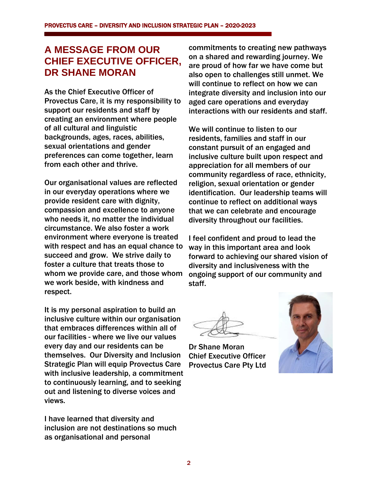#### **A MESSAGE FROM OUR CHIEF EXECUTIVE OFFICER, DR SHANE MORAN**

As the Chief Executive Officer of Provectus Care, it is my responsibility to support our residents and staff by creating an environment where people of all cultural and linguistic backgrounds, ages, races, abilities, sexual orientations and gender preferences can come together, learn from each other and thrive.

Our organisational values are reflected in our everyday operations where we provide resident care with dignity, compassion and excellence to anyone who needs it, no matter the individual circumstance. We also foster a work environment where everyone is treated with respect and has an equal chance to succeed and grow. We strive daily to foster a culture that treats those to whom we provide care, and those whom we work beside, with kindness and respect.

It is my personal aspiration to build an inclusive culture within our organisation that embraces differences within all of our facilities - where we live our values every day and our residents can be themselves. Our Diversity and Inclusion Strategic Plan will equip Provectus Care with inclusive leadership, a commitment to continuously learning, and to seeking out and listening to diverse voices and views.

I have learned that diversity and inclusion are not destinations so much as organisational and personal

commitments to creating new pathways on a shared and rewarding journey. We are proud of how far we have come but also open to challenges still unmet. We will continue to reflect on how we can integrate diversity and inclusion into our aged care operations and everyday interactions with our residents and staff.

We will continue to listen to our residents, families and staff in our constant pursuit of an engaged and inclusive culture built upon respect and appreciation for all members of our community regardless of race, ethnicity, religion, sexual orientation or gender identification. Our leadership teams will continue to reflect on additional ways that we can celebrate and encourage diversity throughout our facilities.

I feel confident and proud to lead the way in this important area and look forward to achieving our shared vision of diversity and inclusiveness with the ongoing support of our community and staff.

Dr Shane Moran Chief Executive Officer Provectus Care Pty Ltd

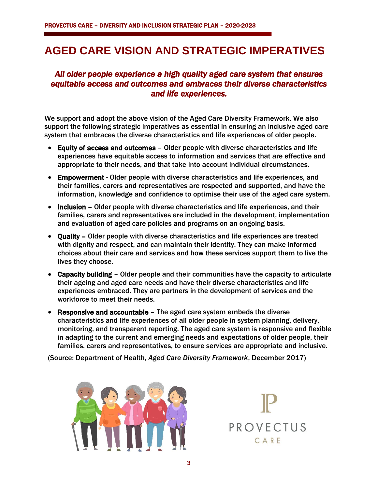## **AGED CARE VISION AND STRATEGIC IMPERATIVES**

#### *All older people experience a high quality aged care system that ensures equitable access and outcomes and embraces their diverse characteristics and life experiences.*

We support and adopt the above vision of the Aged Care Diversity Framework. We also support the following strategic imperatives as essential in ensuring an inclusive aged care system that embraces the diverse characteristics and life experiences of older people.

- Equity of access and outcomes Older people with diverse characteristics and life experiences have equitable access to information and services that are effective and appropriate to their needs, and that take into account individual circumstances.
- Empowerment Older people with diverse characteristics and life experiences, and their families, carers and representatives are respected and supported, and have the information, knowledge and confidence to optimise their use of the aged care system.
- Inclusion Older people with diverse characteristics and life experiences, and their families, carers and representatives are included in the development, implementation and evaluation of aged care policies and programs on an ongoing basis.
- Quality Older people with diverse characteristics and life experiences are treated with dignity and respect, and can maintain their identity. They can make informed choices about their care and services and how these services support them to live the lives they choose.
- Capacity building Older people and their communities have the capacity to articulate their ageing and aged care needs and have their diverse characteristics and life experiences embraced. They are partners in the development of services and the workforce to meet their needs.
- Responsive and accountable The aged care system embeds the diverse characteristics and life experiences of all older people in system planning, delivery, monitoring, and transparent reporting. The aged care system is responsive and flexible in adapting to the current and emerging needs and expectations of older people, their families, carers and representatives, to ensure services are appropriate and inclusive.

(Source: Department of Health, *Aged Care Diversity Framework*, December 2017)



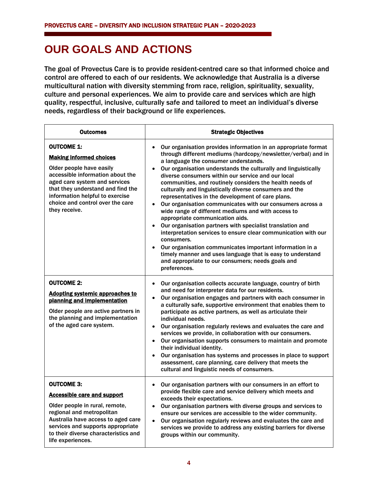## **OUR GOALS AND ACTIONS**

The goal of Provectus Care is to provide resident-centred care so that informed choice and control are offered to each of our residents. We acknowledge that Australia is a diverse multicultural nation with diversity stemming from race, religion, spirituality, sexuality, culture and personal experiences. We aim to provide care and services which are high quality, respectful, inclusive, culturally safe and tailored to meet an individual's diverse needs, regardless of their background or life experiences.

| <b>Outcomes</b>                                                                                                                                                                                                                                                                   | <b>Strategic Objectives</b>                                                                                                                                                                                                                                                                                                                                                                                                                                                                                                                                                                                                                                                                                                                                                                                                                                                                                                                                                                                          |
|-----------------------------------------------------------------------------------------------------------------------------------------------------------------------------------------------------------------------------------------------------------------------------------|----------------------------------------------------------------------------------------------------------------------------------------------------------------------------------------------------------------------------------------------------------------------------------------------------------------------------------------------------------------------------------------------------------------------------------------------------------------------------------------------------------------------------------------------------------------------------------------------------------------------------------------------------------------------------------------------------------------------------------------------------------------------------------------------------------------------------------------------------------------------------------------------------------------------------------------------------------------------------------------------------------------------|
| <b>OUTCOME 1:</b><br><b>Making informed choices</b><br>Older people have easily<br>accessible information about the<br>aged care system and services<br>that they understand and find the<br>information helpful to exercise<br>choice and control over the care<br>they receive. | Our organisation provides information in an appropriate format<br>$\bullet$<br>through different mediums (hardcopy/newsletter/verbal) and in<br>a language the consumer understands.<br>Our organisation understands the culturally and linguistically<br>diverse consumers within our service and our local<br>communities, and routinely considers the health needs of<br>culturally and linguistically diverse consumers and the<br>representatives in the development of care plans.<br>Our organisation communicates with our consumers across a<br>wide range of different mediums and with access to<br>appropriate communication aids.<br>Our organisation partners with specialist translation and<br>$\bullet$<br>interpretation services to ensure clear communication with our<br>consumers.<br>Our organisation communicates important information in a<br>$\bullet$<br>timely manner and uses language that is easy to understand<br>and appropriate to our consumers; needs goals and<br>preferences. |
| <b>OUTCOME 2:</b><br><b>Adopting systemic approaches to</b><br>planning and implementation<br>Older people are active partners in<br>the planning and implementation<br>of the aged care system.                                                                                  | Our organisation collects accurate language, country of birth<br>$\bullet$<br>and need for interpreter data for our residents.<br>Our organisation engages and partners with each consumer in<br>$\bullet$<br>a culturally safe, supportive environment that enables them to<br>participate as active partners, as well as articulate their<br>individual needs.<br>Our organisation regularly reviews and evaluates the care and<br>$\bullet$<br>services we provide, in collaboration with our consumers.<br>Our organisation supports consumers to maintain and promote<br>$\bullet$<br>their individual identity.<br>Our organisation has systems and processes in place to support<br>assessment, care planning, care delivery that meets the<br>cultural and linguistic needs of consumers.                                                                                                                                                                                                                    |
| <b>OUTCOME 3:</b><br>Accessible care and support<br>Older people in rural, remote,<br>regional and metropolitan<br>Australia have access to aged care<br>services and supports appropriate<br>to their diverse characteristics and<br>life experiences.                           | Our organisation partners with our consumers in an effort to<br>$\bullet$<br>provide flexible care and service delivery which meets and<br>exceeds their expectations.<br>Our organisation partners with diverse groups and services to<br>ensure our services are accessible to the wider community.<br>Our organisation regularly reviews and evaluates the care and<br>$\bullet$<br>services we provide to address any existing barriers for diverse<br>groups within our community.                                                                                                                                                                                                                                                                                                                                                                                                                                                                                                                              |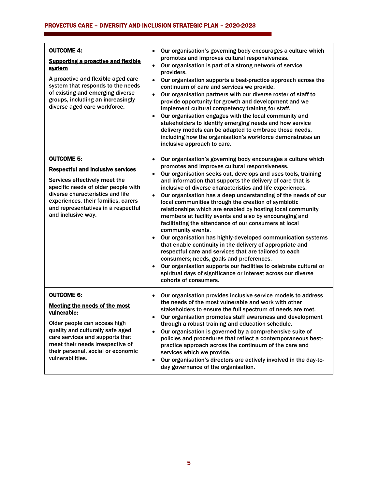#### PROVECTUS CARE – DIVERSITY AND INCLUSION STRATEGIC PLAN – 2020-2023

| <b>OUTCOME 4:</b><br><b>Supporting a proactive and flexible</b><br><u>system</u><br>A proactive and flexible aged care<br>system that responds to the needs<br>of existing and emerging diverse<br>groups, including an increasingly<br>diverse aged care workforce.          | Our organisation's governing body encourages a culture which<br>٠<br>promotes and improves cultural responsiveness.<br>Our organisation is part of a strong network of service<br>$\bullet$<br>providers.<br>Our organisation supports a best-practice approach across the<br>$\bullet$<br>continuum of care and services we provide.<br>Our organisation partners with our diverse roster of staff to<br>$\bullet$<br>provide opportunity for growth and development and we<br>implement cultural competency training for staff.<br>Our organisation engages with the local community and<br>٠<br>stakeholders to identify emerging needs and how service<br>delivery models can be adapted to embrace those needs,<br>including how the organisation's workforce demonstrates an<br>inclusive approach to care.                                                                                                                                                                                                                                                              |
|-------------------------------------------------------------------------------------------------------------------------------------------------------------------------------------------------------------------------------------------------------------------------------|--------------------------------------------------------------------------------------------------------------------------------------------------------------------------------------------------------------------------------------------------------------------------------------------------------------------------------------------------------------------------------------------------------------------------------------------------------------------------------------------------------------------------------------------------------------------------------------------------------------------------------------------------------------------------------------------------------------------------------------------------------------------------------------------------------------------------------------------------------------------------------------------------------------------------------------------------------------------------------------------------------------------------------------------------------------------------------|
| <b>OUTCOME 5:</b><br><b>Respectful and inclusive services</b><br>Services effectively meet the<br>specific needs of older people with<br>diverse characteristics and life<br>experiences, their families, carers<br>and representatives in a respectful<br>and inclusive way. | Our organisation's governing body encourages a culture which<br>٠<br>promotes and improves cultural responsiveness.<br>Our organisation seeks out, develops and uses tools, training<br>٠<br>and information that supports the delivery of care that is<br>inclusive of diverse characteristics and life experiences.<br>Our organisation has a deep understanding of the needs of our<br>$\bullet$<br>local communities through the creation of symbiotic<br>relationships which are enabled by hosting local community<br>members at facility events and also by encouraging and<br>facilitating the attendance of our consumers at local<br>community events.<br>Our organisation has highly-developed communication systems<br>that enable continuity in the delivery of appropriate and<br>respectful care and services that are tailored to each<br>consumers; needs, goals and preferences.<br>Our organisation supports our facilities to celebrate cultural or<br>$\bullet$<br>spiritual days of significance or interest across our diverse<br>cohorts of consumers. |
| <b>OUTCOME 6:</b><br><b>Meeting the needs of the most</b><br>vulnerable:<br>Older people can access high<br>quality and culturally safe aged<br>care services and supports that<br>meet their needs irrespective of<br>their personal, social or economic<br>vulnerabilities. | Our organisation provides inclusive service models to address<br>$\bullet$<br>the needs of the most vulnerable and work with other<br>stakeholders to ensure the full spectrum of needs are met.<br>Our organisation promotes staff awareness and development<br>through a robust training and education schedule.<br>Our organisation is governed by a comprehensive suite of<br>$\bullet$<br>policies and procedures that reflect a contemporaneous best-<br>practice approach across the continuum of the care and<br>services which we provide.<br>Our organisation's directors are actively involved in the day-to-<br>٠<br>day governance of the organisation.                                                                                                                                                                                                                                                                                                                                                                                                           |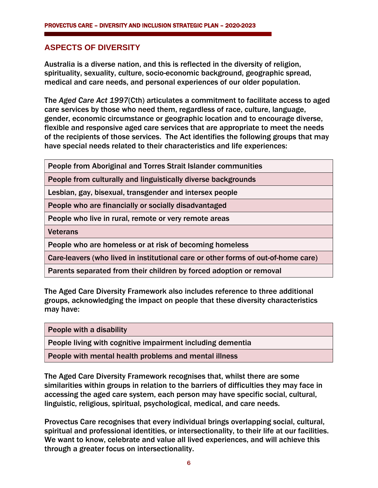#### **ASPECTS OF DIVERSITY**

Australia is a diverse nation, and this is reflected in the diversity of religion, spirituality, sexuality, culture, socio-economic background, geographic spread, medical and care needs, and personal experiences of our older population.

The *Aged Care Act 1997*(Cth) articulates a commitment to facilitate access to aged care services by those who need them, regardless of race, culture, language, gender, economic circumstance or geographic location and to encourage diverse, flexible and responsive aged care services that are appropriate to meet the needs of the recipients of those services. The Act identifies the following groups that may have special needs related to their characteristics and life experiences:

People from Aboriginal and Torres Strait Islander communities

People from culturally and linguistically diverse backgrounds

Lesbian, gay, bisexual, transgender and intersex people

People who are financially or socially disadvantaged

People who live in rural, remote or very remote areas

**Veterans** 

People who are homeless or at risk of becoming homeless

Care-leavers (who lived in institutional care or other forms of out-of-home care)

Parents separated from their children by forced adoption or removal

The Aged Care Diversity Framework also includes reference to three additional groups, acknowledging the impact on people that these diversity characteristics may have:

People with a disability

People living with cognitive impairment including dementia

People with mental health problems and mental illness

The Aged Care Diversity Framework recognises that, whilst there are some similarities within groups in relation to the barriers of difficulties they may face in accessing the aged care system, each person may have specific social, cultural, linguistic, religious, spiritual, psychological, medical, and care needs.

Provectus Care recognises that every individual brings overlapping social, cultural, spiritual and professional identities, or intersectionality, to their life at our facilities. We want to know, celebrate and value all lived experiences, and will achieve this through a greater focus on intersectionality.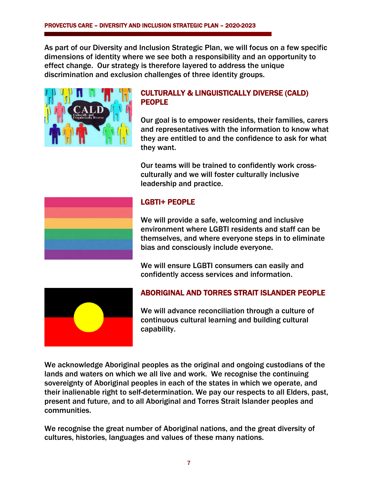As part of our Diversity and Inclusion Strategic Plan, we will focus on a few specific dimensions of identity where we see both a responsibility and an opportunity to effect change. Our strategy is therefore layered to address the unique discrimination and exclusion challenges of three identity groups.



#### CULTURALLY & LINGUISTICALLY DIVERSE (CALD) PEOPLE

Our goal is to empower residents, their families, carers and representatives with the information to know what they are entitled to and the confidence to ask for what they want.

Our teams will be trained to confidently work crossculturally and we will foster culturally inclusive leadership and practice.



#### LGBTI+ PEOPLE

We will provide a safe, welcoming and inclusive environment where LGBTI residents and staff can be themselves, and where everyone steps in to eliminate bias and consciously include everyone.

We will ensure LGBTI consumers can easily and confidently access services and information.



#### ABORIGINAL AND TORRES STRAIT ISLANDER PEOPLE

We will advance reconciliation through a culture of continuous cultural learning and building cultural capability.

We acknowledge Aboriginal peoples as the original and ongoing custodians of the lands and waters on which we all live and work. We recognise the continuing sovereignty of Aboriginal peoples in each of the states in which we operate, and their inalienable right to self-determination. We pay our respects to all Elders, past, present and future, and to all Aboriginal and Torres Strait Islander peoples and communities.

We recognise the great number of Aboriginal nations, and the great diversity of cultures, histories, languages and values of these many nations.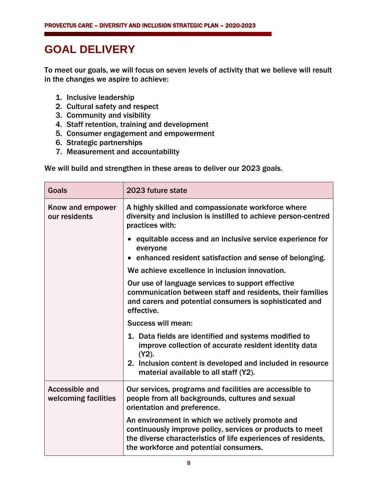## **GOAL DELIVERY**

To meet our goals, we will focus on seven levels of activity that we believe will result in the changes we aspire to achieve:

- 1. Inclusive leadership
- 2. Cultural safety and respect
- 3. Community and visibility
- 4. Staff retention, training and development
- 5. Consumer engagement and empowerment
- 6. Strategic partnerships
- 7. Measurement and accountability

We will build and strengthen in these areas to deliver our 2023 goals.

| Goals                                  | 2023 future state                                                                                                                                                                                                       |
|----------------------------------------|-------------------------------------------------------------------------------------------------------------------------------------------------------------------------------------------------------------------------|
| Know and empower<br>our residents      | A highly skilled and compassionate workforce where<br>diversity and inclusion is instilled to achieve person-centred<br>practices with:                                                                                 |
|                                        | equitable access and an inclusive service experience for<br>everyone                                                                                                                                                    |
|                                        | enhanced resident satisfaction and sense of belonging.                                                                                                                                                                  |
|                                        | We achieve excellence in inclusion innovation.                                                                                                                                                                          |
|                                        | Our use of language services to support effective<br>communication between staff and residents, their families<br>and carers and potential consumers is sophisticated and<br>effective.                                 |
|                                        | Success will mean:                                                                                                                                                                                                      |
|                                        | 1. Data fields are identified and systems modified to<br>improve collection of accurate resident identity data<br>$(Y2)$ .                                                                                              |
|                                        | 2. Inclusion content is developed and included in resource<br>material available to all staff (Y2).                                                                                                                     |
| Accessible and<br>welcoming facilities | Our services, programs and facilities are accessible to<br>people from all backgrounds, cultures and sexual<br>orientation and preference.                                                                              |
|                                        | An environment in which we actively promote and<br>continuously improve policy, services or products to meet<br>the diverse characteristics of life experiences of residents,<br>the workforce and potential consumers. |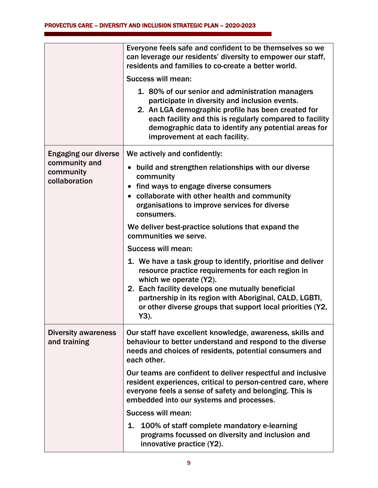|                                             | Everyone feels safe and confident to be themselves so we<br>can leverage our residents' diversity to empower our staff,<br>residents and families to co-create a better world.                                                                                                                                                   |
|---------------------------------------------|----------------------------------------------------------------------------------------------------------------------------------------------------------------------------------------------------------------------------------------------------------------------------------------------------------------------------------|
|                                             | <b>Success will mean:</b>                                                                                                                                                                                                                                                                                                        |
|                                             | 1. 80% of our senior and administration managers<br>participate in diversity and inclusion events.<br>2. An LGA demographic profile has been created for<br>each facility and this is regularly compared to facility<br>demographic data to identify any potential areas for<br>improvement at each facility.                    |
| <b>Engaging our diverse</b>                 | We actively and confidently:                                                                                                                                                                                                                                                                                                     |
| community and<br>community<br>collaboration | build and strengthen relationships with our diverse<br>$\bullet$<br>community<br>find ways to engage diverse consumers<br>$\bullet$                                                                                                                                                                                              |
|                                             | collaborate with other health and community<br>organisations to improve services for diverse<br>consumers.                                                                                                                                                                                                                       |
|                                             | We deliver best-practice solutions that expand the<br>communities we serve.                                                                                                                                                                                                                                                      |
|                                             | Success will mean:                                                                                                                                                                                                                                                                                                               |
|                                             | 1. We have a task group to identify, prioritise and deliver<br>resource practice requirements for each region in<br>which we operate (Y2).<br>2. Each facility develops one mutually beneficial<br>partnership in its region with Aboriginal, CALD, LGBTI,<br>or other diverse groups that support local priorities (Y2,<br>Y3). |
| <b>Diversity awareness</b><br>and training  | Our staff have excellent knowledge, awareness, skills and<br>behaviour to better understand and respond to the diverse<br>needs and choices of residents, potential consumers and<br>each other.                                                                                                                                 |
|                                             | Our teams are confident to deliver respectful and inclusive<br>resident experiences, critical to person-centred care, where<br>everyone feels a sense of safety and belonging. This is<br>embedded into our systems and processes.                                                                                               |
|                                             | <b>Success will mean:</b>                                                                                                                                                                                                                                                                                                        |
|                                             | 1. 100% of staff complete mandatory e-learning<br>programs focussed on diversity and inclusion and<br>innovative practice (Y2).                                                                                                                                                                                                  |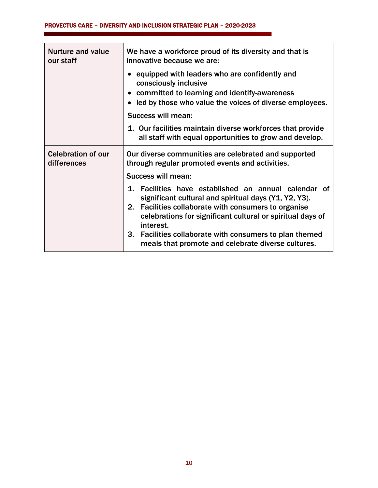| <b>Nurture and value</b><br>our staff    | We have a workforce proud of its diversity and that is<br>innovative because we are:                                               |
|------------------------------------------|------------------------------------------------------------------------------------------------------------------------------------|
|                                          | equipped with leaders who are confidently and<br>consciously inclusive<br>• committed to learning and identify-awareness           |
|                                          | led by those who value the voices of diverse employees.                                                                            |
|                                          | Success will mean:                                                                                                                 |
|                                          | 1. Our facilities maintain diverse workforces that provide<br>all staff with equal opportunities to grow and develop.              |
| <b>Celebration of our</b><br>differences | Our diverse communities are celebrated and supported<br>through regular promoted events and activities.                            |
|                                          | Success will mean:                                                                                                                 |
|                                          | 1. Facilities have established an annual calendar of<br>significant cultural and spiritual days (Y1, Y2, Y3).                      |
|                                          | 2.<br>Facilities collaborate with consumers to organise<br>celebrations for significant cultural or spiritual days of<br>interest. |
|                                          | 3. Facilities collaborate with consumers to plan themed<br>meals that promote and celebrate diverse cultures.                      |